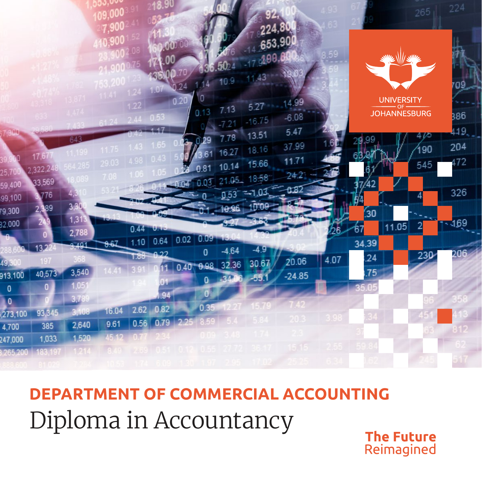

Diploma in Accountancy **DEPARTMENT OF COMMERCIAL ACCOUNTING**

**The Future** Reimagined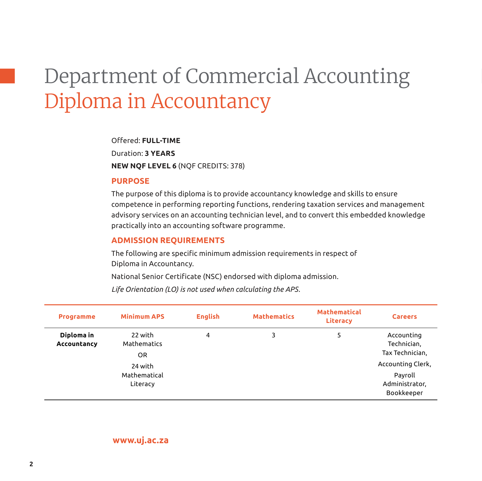# Department of Commercial Accounting Diploma in Accountancy

#### Offered: **FULL-TIME**

Duration: **3 YEARS NEW NQF LEVEL 6** (NQF CREDITS: 378)

#### **Purpose**

The purpose of this diploma is to provide accountancy knowledge and skills to ensure competence in performing reporting functions, rendering taxation services and management advisory services on an accounting technician level, and to convert this embedded knowledge practically into an accounting software programme.

### **Admission Requirements**

The following are specific minimum admission requirements in respect of Diploma in Accountancy.

National Senior Certificate (NSC) endorsed with diploma admission.

*Life Orientation (LO) is not used when calculating the APS.*

| <b>Programme</b>          | <b>Minimum APS</b>                  | <b>English</b> | <b>Mathematics</b> | <b>Mathematical</b><br><b>Literacy</b> | <b>Careers</b>                                               |
|---------------------------|-------------------------------------|----------------|--------------------|----------------------------------------|--------------------------------------------------------------|
| Diploma in<br>Accountancy | 22 with<br>Mathematics<br>OR        | 4              | 3                  | 5                                      | Accounting<br>Technician,<br>Tax Technician,                 |
|                           | 24 with<br>Mathematical<br>Literacy |                |                    |                                        | Accounting Clerk,<br>Payroll<br>Administrator,<br>Bookkeeper |

**<www.uj.ac.za>**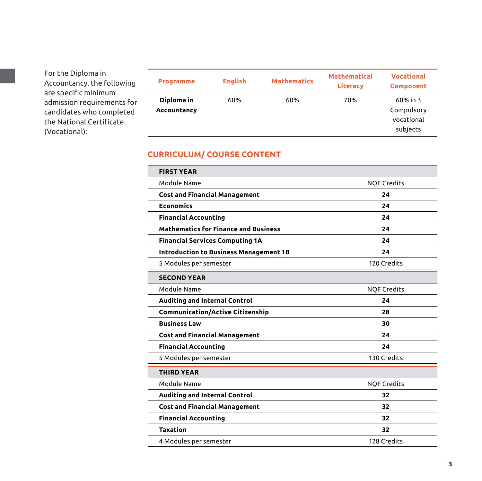For the Diploma in Accountancy, the following are specific minimum admission requirements for candidates who completed the National Certificate (Vocational):

| <b>Programme</b>          | <b>English</b> | <b>Mathematics</b> | <b>Mathematical</b><br><b>Literacy</b> | <b>Vocational</b><br><b>Component</b>               |
|---------------------------|----------------|--------------------|----------------------------------------|-----------------------------------------------------|
| Diploma in<br>Accountancy | 60%            | 60%                | 70%                                    | $60\%$ in 3<br>Compulsory<br>vocational<br>subjects |

# **CURRICULUM/ COURSE CONTENT**

| <b>FIRST YEAR</b>                             |                    |
|-----------------------------------------------|--------------------|
| Module Name                                   | <b>NQF Credits</b> |
| <b>Cost and Financial Management</b>          | 24                 |
| <b>Economics</b>                              | 24                 |
| <b>Financial Accounting</b>                   | 24                 |
| <b>Mathematics for Finance and Business</b>   | 24                 |
| <b>Financial Services Computing 1A</b>        | 24                 |
| <b>Introduction to Business Management 1B</b> | 24                 |
| 5 Modules per semester                        | 120 Credits        |
| <b>SECOND YEAR</b>                            |                    |
| Module Name                                   | <b>NQF Credits</b> |
| <b>Auditing and Internal Control</b>          | 24                 |
| <b>Communication/Active Citizenship</b>       | 28                 |
| <b>Business Law</b>                           | 30                 |
| <b>Cost and Financial Management</b>          | 24                 |
| <b>Financial Accounting</b>                   | 24                 |
| 5 Modules per semester                        | 130 Credits        |
| <b>THIRD YEAR</b>                             |                    |
| Module Name                                   | <b>NQF Credits</b> |
| <b>Auditing and Internal Control</b>          | 32                 |
| <b>Cost and Financial Management</b>          | 32                 |
| <b>Financial Accounting</b>                   | 32                 |
| <b>Taxation</b>                               | 32                 |
| 4 Modules per semester                        | 128 Credits        |